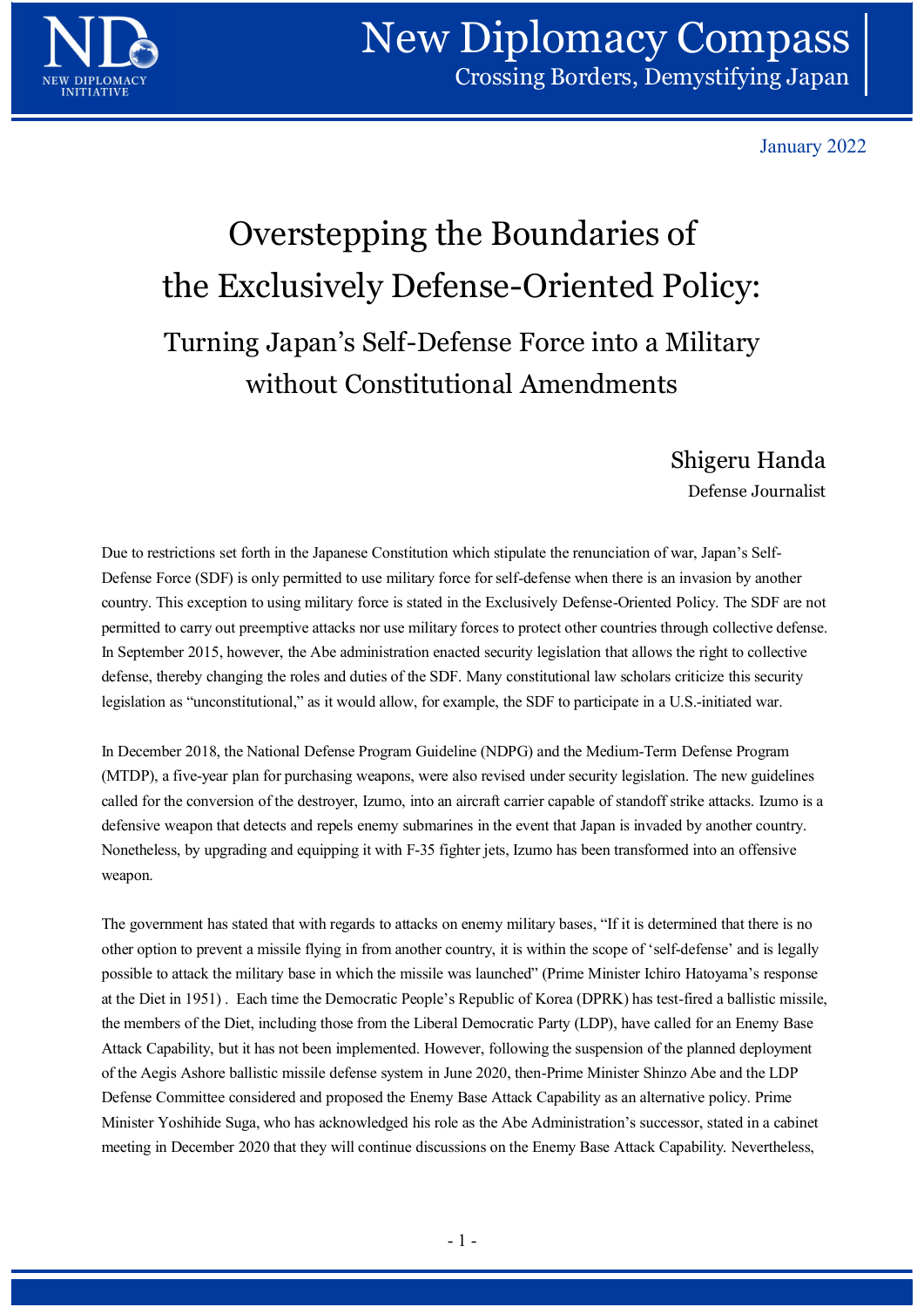

January 2022

## Overstepping the Boundaries of the Exclusively Defense-Oriented Policy: Turning Japan's Self-Defense Force into a Military without Constitutional Amendments

Shigeru Handa

Defense Journalist

Due to restrictions set forth in the Japanese Constitution which stipulate the renunciation of war, Japan's Self- Defense Force (SDF) is only permitted to use military force for self-defense when there is an invasion by another country. This exception to using military force is stated in the Exclusively Defense-Oriented Policy. The SDF are not permitted to carry out preemptive attacks nor use military forces to protect other countries through collective defense. In September 2015, however, the Abe administration enacted security legislation that allows the right to collective defense, thereby changing the roles and duties of the SDF. Many constitutional law scholars criticize this security legislation as "unconstitutional," as it would allow, for example, the SDF to participate in a U.S.-initiated war. **Shigeru Handa**<br>
Defense Journalist<br>
Defense Journalist<br>
Defense Gore of Ship in the Japanese Constitution which stipulate the renunciation of war, Japan's Self-<br>
Defense Force (SDF) is only permitted to use military force

In December 2018, the National Defense Program Guideline (NDPG) and the Medium-Term Defense Program (MTDP), a five-year plan for purchasing weapons, were also revised under security legislation. The new guidelines called for the conversion of the destroyer, Izumo, into an aircraft carrier capable of standoff strike attacks. Izumo is a Nonetheless, by upgrading and equipping it with F-35 fighter jets, Izumo has been transformed into an offensive weapon.

The government has stated that with regards to attacks on enemy military bases, "If it is determined that there is no other option to prevent a missile flying in from another country, it is within the scope of 'self-defense' and is legally possible to attack the military base in which the missile was launched" (Prime Minister Ichiro Hatoyama's response at the Diet in 1951) . Each time the Democratic People's Republic of Korea (DPRK) has test-fired a ballistic missile, the members of the Diet, including those from the Liberal Democratic Party (LDP), have called for an Enemy Base Attack Capability, but it has not been implemented. However, following the suspension of the planned deployment of the Aegis Ashore ballistic missile defense system in June 2020, then-Prime Minister Shinzo Abe and the LDP Defense Committee considered and proposed the Enemy Base Attack Capability as an alternative policy. Prime Minister Yoshihide Suga, who has acknowledged his role as the Abe Administration's successor, stated in a cabinet meeting in December 2020 that they will continue discussions on the Enemy Base Attack Capability. Nevertheless, ighter jets, Izumo has been transformed into an offensive<br>on enemy military bases, "If it is determined that there is no<br>country, it is within the scope of 'self-defense' and is legally<br>was launched" (Prime Minister Ichiro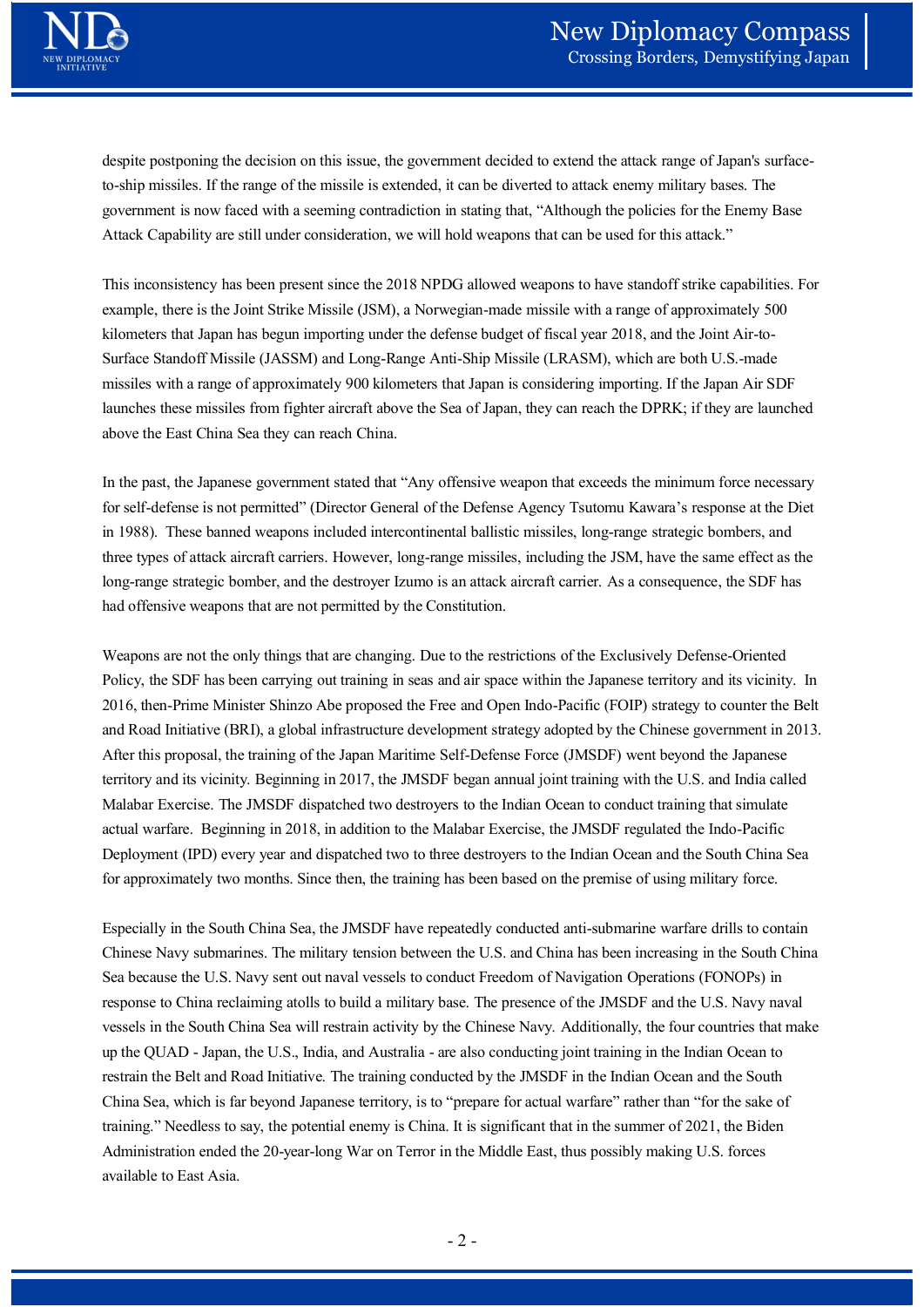despite postponing the decision on this issue, the government decided to extend the attack range of Japan's surfaceto-ship missiles. If the range of the missile is extended, it can be diverted to attack enemy military bases. The government is now faced with a seeming contradiction in stating that, "Although the policies for the Enemy Base Attack Capability are still under consideration, we will hold weapons that can be used for this attack."

This inconsistency has been present since the 2018 NPDG allowed weapons to have standoff strike capabilities. For example, there is the Joint Strike Missile (JSM), a Norwegian-made missile with a range of approximately 500 kilometers that Japan has begun importing under the defense budget of fiscal year 2018, and the Joint Air-to-Surface Standoff Missile (JASSM) and Long-Range Anti-Ship Missile (LRASM), which are both U.S.-made missiles with a range of approximately 900 kilometers that Japan is considering importing. If the Japan Air SDF launches these missiles from fighter aircraft above the Sea of Japan, they can reach the DPRK; if they are launched **EXECTS ASSET CONSTRANT CONSTRANT CONSTRANT CONSTRANT CONSTRANT CONSTRANT CONSTRANT CONSTRANT CONSTRANT CONSTRANT CONSTRANT CONSTRANT CONSTRANT CONSTRANT CONSTRANT CONSTRANT CONSTRANT CONSTRANT CONSTRANT CONSTRANT CONSTRAN** 

In the past, the Japanese government stated that "Any offensive weapon that exceeds the minimum force necessary for self-defense is not permitted" (Director General of the Defense Agency Tsutomu Kawara's response at the Diet in 1988). These banned weapons included intercontinental ballistic missiles, long-range strategic bombers, and three types of attack aircraft carriers. However, long-range missiles, including the JSM, have the same effect as the long-range strategic bomber, and the destroyer Izumo is an attack aircraft carrier. As a consequence, the SDF has had offensive weapons that are not permitted by the Constitution.

Weapons are not the only things that are changing. Due to the restrictions of the Exclusively Defense-Oriented Policy, the SDF has been carrying out training in seas and air space within the Japanese territory and its vicinity. In 2016, then-Prime Minister Shinzo Abe proposed the Free and Open Indo-Pacific (FOIP) strategy to counter the Belt and Road Initiative (BRI), a global infrastructure development strategy adopted by the Chinese government in 2013. After this proposal, the training of the Japan Maritime Self-Defense Force (JMSDF) went beyond the Japanese territory and its vicinity. Beginning in 2017, the JMSDF began annual joint training with the U.S. and India called Malabar Exercise. The JMSDF dispatched two destroyers to the Indian Ocean to conduct training that simulate actual warfare. Beginning in 2018, in addition to the Malabar Exercise, the JMSDF regulated the Indo-Pacific Deployment (IPD) every year and dispatched two to three destroyers to the Indian Ocean and the South China Sea for approximately two months. Since then, the training has been based on the premise of using military force. Weapons are not the only things that are changing. Due to the restrictions of the Exclusively Defense-Oriented<br>Policy, the SDF has been encrying out training in seas and air space within the Japanese territory and its viei

Especially in the South China Sea, the JMSDF have repeatedly conducted anti-submarine warfare drills to contain Chinese Navy submarines. The military tension between the U.S. and China has been increasing in the South China Sea because the U.S. Navy sent out naval vessels to conduct Freedom of Navigation Operations (FONOPs) in response to China reclaiming atolls to build a military base. The presence of the JMSDF and the U.S. Navy naval vessels in the South China Sea will restrain activity by the Chinese Navy. Additionally, the four countries that make restrain the Belt and Road Initiative. The training conducted by the JMSDF in the Indian Ocean and the South China Sea, which is far beyond Japanese territory, is to "prepare for actual warfare" rather than "for the sake of and Road Initiative (BRI), a global infrastructure development strategy adopted by the Chinese government in 2013.<br>After this proposal, the training of the Jopan Maritime Self-Defense Force (*MSDF*) went beyond the Jopanes Administration ended the 20-year-long War on Terror in the Middle East, thus possibly making U.S. forces available to East Asia. ee destroyers to the Indian Ocean and the South China Sea<br>nas been based on the premise of using military force.<br>eatedly conducted anti-submarine warfare drills to contain<br>the U.S. and China has been increasing in the Sout